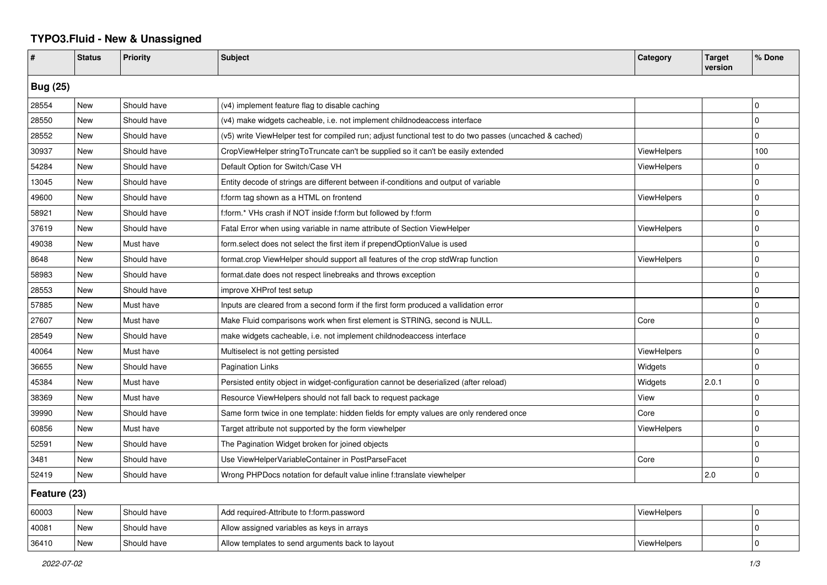## **TYPO3.Fluid - New & Unassigned**

| #               | <b>Status</b> | <b>Priority</b> | <b>Subject</b>                                                                                           | Category           | <b>Target</b><br>version | % Done       |  |  |
|-----------------|---------------|-----------------|----------------------------------------------------------------------------------------------------------|--------------------|--------------------------|--------------|--|--|
| <b>Bug (25)</b> |               |                 |                                                                                                          |                    |                          |              |  |  |
| 28554           | <b>New</b>    | Should have     | (v4) implement feature flag to disable caching                                                           |                    |                          | 0            |  |  |
| 28550           | New           | Should have     | (v4) make widgets cacheable, i.e. not implement childnodeaccess interface                                |                    |                          | $\Omega$     |  |  |
| 28552           | New           | Should have     | (v5) write ViewHelper test for compiled run; adjust functional test to do two passes (uncached & cached) |                    |                          | 0            |  |  |
| 30937           | New           | Should have     | CropViewHelper stringToTruncate can't be supplied so it can't be easily extended                         | <b>ViewHelpers</b> |                          | 100          |  |  |
| 54284           | New           | Should have     | Default Option for Switch/Case VH                                                                        | <b>ViewHelpers</b> |                          | 0            |  |  |
| 13045           | New           | Should have     | Entity decode of strings are different between if-conditions and output of variable                      |                    |                          | $\Omega$     |  |  |
| 49600           | New           | Should have     | f:form tag shown as a HTML on frontend                                                                   | ViewHelpers        |                          | $\Omega$     |  |  |
| 58921           | New           | Should have     | f:form.* VHs crash if NOT inside f:form but followed by f:form                                           |                    |                          | $\Omega$     |  |  |
| 37619           | New           | Should have     | Fatal Error when using variable in name attribute of Section ViewHelper                                  | ViewHelpers        |                          | $\Omega$     |  |  |
| 49038           | New           | Must have       | form select does not select the first item if prependOptionValue is used                                 |                    |                          | 0            |  |  |
| 8648            | New           | Should have     | format.crop ViewHelper should support all features of the crop stdWrap function                          | ViewHelpers        |                          | $\Omega$     |  |  |
| 58983           | New           | Should have     | format.date does not respect linebreaks and throws exception                                             |                    |                          | 0            |  |  |
| 28553           | New           | Should have     | improve XHProf test setup                                                                                |                    |                          | $\Omega$     |  |  |
| 57885           | New           | Must have       | Inputs are cleared from a second form if the first form produced a vallidation error                     |                    |                          | <sup>0</sup> |  |  |
| 27607           | New           | Must have       | Make Fluid comparisons work when first element is STRING, second is NULL.                                | Core               |                          | $\mathbf 0$  |  |  |
| 28549           | <b>New</b>    | Should have     | make widgets cacheable, i.e. not implement childnodeaccess interface                                     |                    |                          | $\mathbf 0$  |  |  |
| 40064           | New           | Must have       | Multiselect is not getting persisted                                                                     | <b>ViewHelpers</b> |                          | 0            |  |  |
| 36655           | New           | Should have     | Pagination Links                                                                                         | Widgets            |                          | $\Omega$     |  |  |
| 45384           | New           | Must have       | Persisted entity object in widget-configuration cannot be deserialized (after reload)                    | Widgets            | 2.0.1                    | $\Omega$     |  |  |
| 38369           | New           | Must have       | Resource ViewHelpers should not fall back to request package                                             | View               |                          | 0            |  |  |
| 39990           | <b>New</b>    | Should have     | Same form twice in one template: hidden fields for empty values are only rendered once                   | Core               |                          | $\Omega$     |  |  |
| 60856           | <b>New</b>    | Must have       | Target attribute not supported by the form viewhelper                                                    | <b>ViewHelpers</b> |                          | 0            |  |  |
| 52591           | <b>New</b>    | Should have     | The Pagination Widget broken for joined objects                                                          |                    |                          | $\Omega$     |  |  |
| 3481            | New           | Should have     | Use ViewHelperVariableContainer in PostParseFacet                                                        | Core               |                          | <sup>0</sup> |  |  |
| 52419           | <b>New</b>    | Should have     | Wrong PHPDocs notation for default value inline f:translate viewhelper                                   |                    | 2.0                      | 0            |  |  |
| Feature (23)    |               |                 |                                                                                                          |                    |                          |              |  |  |
| 60003           | <b>New</b>    | Should have     | Add required-Attribute to f:form.password                                                                | <b>ViewHelpers</b> |                          | $\mathbf 0$  |  |  |
| 40081           | New           | Should have     | Allow assigned variables as keys in arrays                                                               |                    |                          | 0            |  |  |
| 36410           | New           | Should have     | Allow templates to send arguments back to layout                                                         | ViewHelpers        |                          | $\Omega$     |  |  |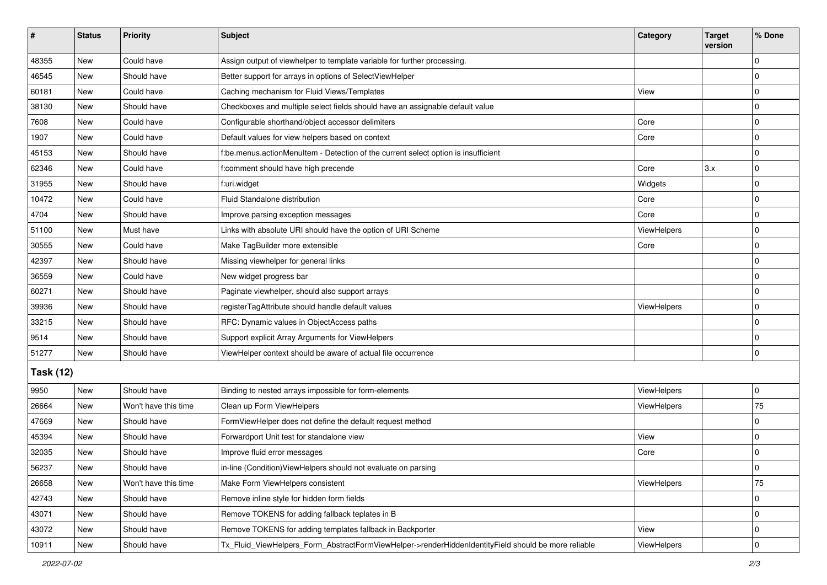| ∦                | <b>Status</b> | Priority             | <b>Subject</b>                                                                                      | Category    | <b>Target</b><br>version | % Done      |  |  |
|------------------|---------------|----------------------|-----------------------------------------------------------------------------------------------------|-------------|--------------------------|-------------|--|--|
| 48355            | New           | Could have           | Assign output of viewhelper to template variable for further processing.                            |             |                          | 0           |  |  |
| 46545            | <b>New</b>    | Should have          | Better support for arrays in options of SelectViewHelper                                            |             |                          | $\mathbf 0$ |  |  |
| 60181            | New           | Could have           | Caching mechanism for Fluid Views/Templates                                                         | View        |                          | 0           |  |  |
| 38130            | <b>New</b>    | Should have          | Checkboxes and multiple select fields should have an assignable default value                       |             |                          | $\Omega$    |  |  |
| 7608             | <b>New</b>    | Could have           | Configurable shorthand/object accessor delimiters                                                   | Core        |                          | 0           |  |  |
| 1907             | New           | Could have           | Default values for view helpers based on context                                                    | Core        |                          | 0           |  |  |
| 45153            | <b>New</b>    | Should have          | f:be.menus.actionMenuItem - Detection of the current select option is insufficient                  |             |                          | $\mathbf 0$ |  |  |
| 62346            | <b>New</b>    | Could have           | f:comment should have high precende                                                                 | Core        | 3.x                      | $\Omega$    |  |  |
| 31955            | New           | Should have          | f:uri.widget                                                                                        | Widgets     |                          | $\Omega$    |  |  |
| 10472            | <b>New</b>    | Could have           | Fluid Standalone distribution                                                                       | Core        |                          | 0           |  |  |
| 4704             | <b>New</b>    | Should have          | Improve parsing exception messages                                                                  | Core        |                          | $\Omega$    |  |  |
| 51100            | <b>New</b>    | Must have            | Links with absolute URI should have the option of URI Scheme                                        | ViewHelpers |                          | $\mathbf 0$ |  |  |
| 30555            | New           | Could have           | Make TagBuilder more extensible                                                                     | Core        |                          | $\Omega$    |  |  |
| 42397            | New           | Should have          | Missing viewhelper for general links                                                                |             |                          | $\Omega$    |  |  |
| 36559            | <b>New</b>    | Could have           | New widget progress bar                                                                             |             |                          | $\Omega$    |  |  |
| 60271            | New           | Should have          | Paginate viewhelper, should also support arrays                                                     |             |                          | $\Omega$    |  |  |
| 39936            | <b>New</b>    | Should have          | registerTagAttribute should handle default values                                                   | ViewHelpers |                          | 0           |  |  |
| 33215            | New           | Should have          | RFC: Dynamic values in ObjectAccess paths                                                           |             |                          | 0           |  |  |
| 9514             | New           | Should have          | Support explicit Array Arguments for ViewHelpers                                                    |             |                          | $\Omega$    |  |  |
| 51277            | <b>New</b>    | Should have          | ViewHelper context should be aware of actual file occurrence                                        |             |                          | 0           |  |  |
| <b>Task (12)</b> |               |                      |                                                                                                     |             |                          |             |  |  |
| 9950             | <b>New</b>    | Should have          | Binding to nested arrays impossible for form-elements                                               | ViewHelpers |                          | 0           |  |  |
| 26664            | <b>New</b>    | Won't have this time | Clean up Form ViewHelpers                                                                           | ViewHelpers |                          | 75          |  |  |
| 47669            | <b>New</b>    | Should have          | FormViewHelper does not define the default request method                                           |             |                          | 0           |  |  |
| 45394            | <b>New</b>    | Should have          | Forwardport Unit test for standalone view                                                           | View        |                          | $\Omega$    |  |  |
| 32035            | New           | Should have          | Improve fluid error messages                                                                        | Core        |                          | 0           |  |  |
| 56237            | New           | Should have          | in-line (Condition)ViewHelpers should not evaluate on parsing                                       |             |                          | 0           |  |  |
| 26658            | <b>New</b>    | Won't have this time | Make Form ViewHelpers consistent                                                                    | ViewHelpers |                          | 75          |  |  |
| 42743            | New           | Should have          | Remove inline style for hidden form fields                                                          |             |                          | 0           |  |  |
| 43071            | New           | Should have          | Remove TOKENS for adding fallback teplates in B                                                     |             |                          | $\Omega$    |  |  |
| 43072            | New           | Should have          | Remove TOKENS for adding templates fallback in Backporter                                           | View        |                          | 0           |  |  |
| 10911            | New           | Should have          | Tx_Fluid_ViewHelpers_Form_AbstractFormViewHelper->renderHiddenIdentityField should be more reliable | ViewHelpers |                          | 0           |  |  |